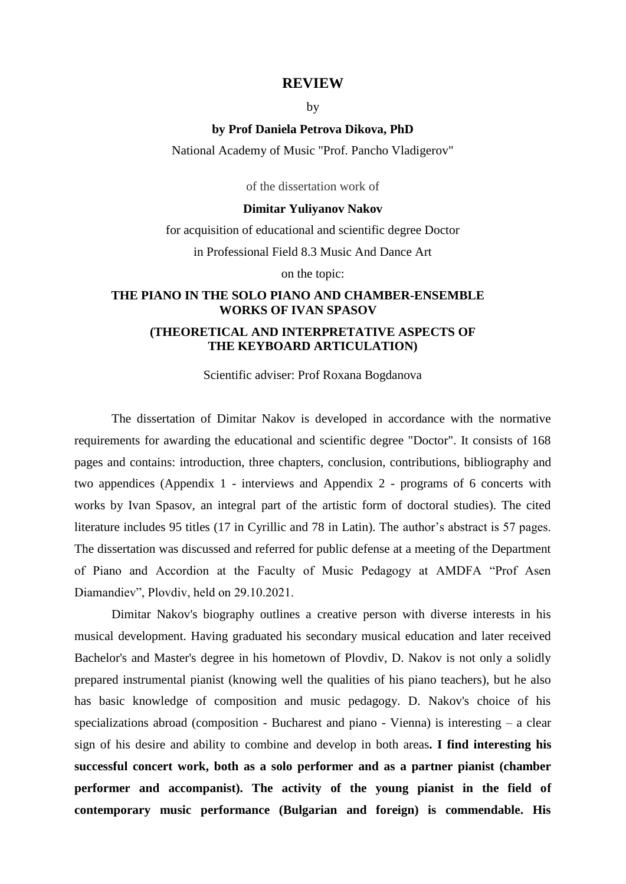### **REVIEW**

#### by

#### **by Prof Daniela Petrova Dikova, PhD**

National Academy of Music "Prof. Pancho Vladigerov"

of the dissertation work of

#### **Dimitar Yuliyanov Nakov**

for acquisition of educational and scientific degree Doctor in Professional Field 8.3 Music And Dance Art

on the topic:

## **THE PIANO IN THE SOLO PIANO AND CHAMBER-ENSEMBLE WORKS OF IVAN SPASOV**

## **(THEORETICAL AND INTERPRETATIVE ASPECTS OF THE KEYBOARD ARTICULATION)**

Scientific adviser: Prof Roxana Bogdanova

The dissertation of Dimitar Nakov is developed in accordance with the normative requirements for awarding the educational and scientific degree "Doctor". It consists of 168 pages and contains: introduction, three chapters, conclusion, contributions, bibliography and two appendices (Appendix 1 - interviews and Appendix 2 - programs of 6 concerts with works by Ivan Spasov, an integral part of the artistic form of doctoral studies). The cited literature includes 95 titles (17 in Cyrillic and 78 in Latin). The author's abstract is 57 pages. The dissertation was discussed and referred for public defense at a meeting of the Department of Piano and Accordion at the Faculty of Music Pedagogy at AMDFA "Prof Asen Diamandiev", Plovdiv, held on 29.10.2021.

Dimitar Nakov's biography outlines a creative person with diverse interests in his musical development. Having graduated his secondary musical education and later received Bachelor's and Master's degree in his hometown of Plovdiv, D. Nakov is not only a solidly prepared instrumental pianist (knowing well the qualities of his piano teachers), but he also has basic knowledge of composition and music pedagogy. D. Nakov's choice of his specializations abroad (composition - Bucharest and piano - Vienna) is interesting – a clear sign of his desire and ability to combine and develop in both areas**. I find interesting his successful concert work, both as a solo performer and as a partner pianist (chamber performer and accompanist). The activity of the young pianist in the field of contemporary music performance (Bulgarian and foreign) is commendable. His**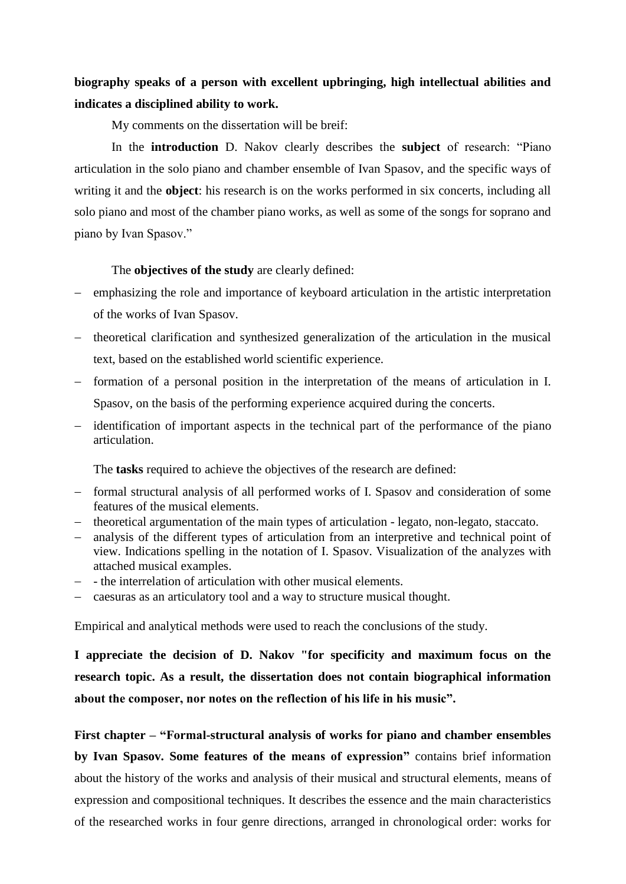# **biography speaks of a person with excellent upbringing, high intellectual abilities and indicates a disciplined ability to work.**

My comments on the dissertation will be breif:

In the **introduction** D. Nakov clearly describes the **subject** of research: "Piano articulation in the solo piano and chamber ensemble of Ivan Spasov, and the specific ways of writing it and the **object**: his research is on the works performed in six concerts, including all solo piano and most of the chamber piano works, as well as some of the songs for soprano and piano by Ivan Spasov."

The **objectives of the study** are clearly defined:

- emphasizing the role and importance of keyboard articulation in the artistic interpretation of the works of Ivan Spasov.
- theoretical clarification and synthesized generalization of the articulation in the musical text, based on the established world scientific experience.
- formation of a personal position in the interpretation of the means of articulation in I. Spasov, on the basis of the performing experience acquired during the concerts.
- identification of important aspects in the technical part of the performance of the piano articulation.

The **tasks** required to achieve the objectives of the research are defined:

- formal structural analysis of all performed works of I. Spasov and consideration of some features of the musical elements.
- theoretical argumentation of the main types of articulation legato, non-legato, staccato.
- analysis of the different types of articulation from an interpretive and technical point of view. Indications spelling in the notation of I. Spasov. Visualization of the analyzes with attached musical examples.
- the interrelation of articulation with other musical elements.
- caesuras as an articulatory tool and a way to structure musical thought.

Empirical and analytical methods were used to reach the conclusions of the study.

**I appreciate the decision of D. Nakov "for specificity and maximum focus on the research topic. As a result, the dissertation does not contain biographical information about the composer, nor notes on the reflection of his life in his music".**

**First chapter – "Formal-structural analysis of works for piano and chamber ensembles by Ivan Spasov. Some features of the means of expression"** contains brief information about the history of the works and analysis of their musical and structural elements, means of expression and compositional techniques. It describes the essence and the main characteristics of the researched works in four genre directions, arranged in chronological order: works for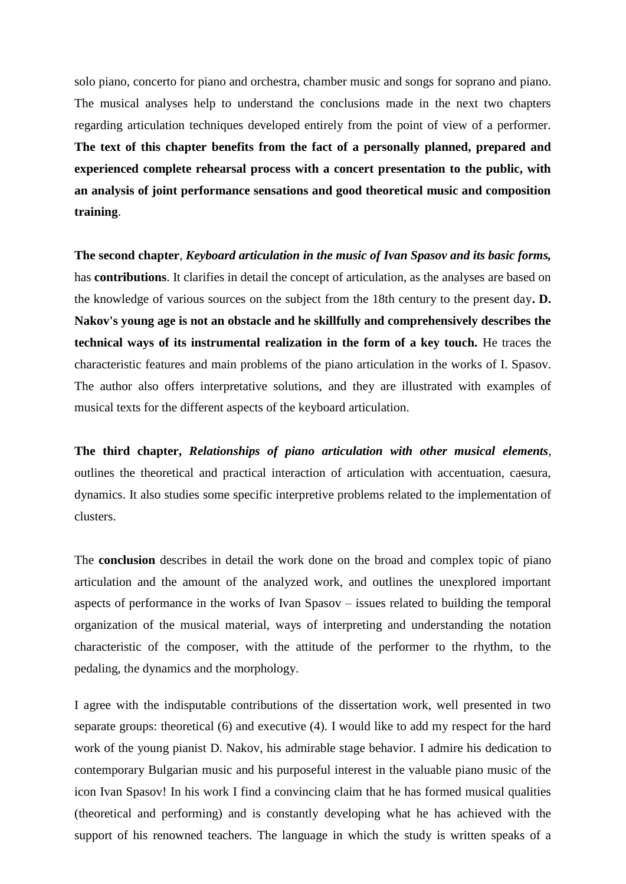solo piano, concerto for piano and orchestra, chamber music and songs for soprano and piano. The musical analyses help to understand the conclusions made in the next two chapters regarding articulation techniques developed entirely from the point of view of a performer. **The text of this chapter benefits from the fact of a personally planned, prepared and experienced complete rehearsal process with a concert presentation to the public, with an analysis of joint performance sensations and good theoretical music and composition training**.

**The second chapter**, *Keyboard articulation in the music of Ivan Spasov and its basic forms,* has **contributions**. It clarifies in detail the concept of articulation, as the analyses are based on the knowledge of various sources on the subject from the 18th century to the present day**. D. Nakov's young age is not an obstacle and he skillfully and comprehensively describes the technical ways of its instrumental realization in the form of a key touch.** He traces the characteristic features and main problems of the piano articulation in the works of I. Spasov. The author also offers interpretative solutions, and they are illustrated with examples of musical texts for the different aspects of the keyboard articulation.

**The third chapter,** *Relationships of piano articulation with other musical elements*, outlines the theoretical and practical interaction of articulation with accentuation, caesura, dynamics. It also studies some specific interpretive problems related to the implementation of clusters.

The **conclusion** describes in detail the work done on the broad and complex topic of piano articulation and the amount of the analyzed work, and outlines the unexplored important aspects of performance in the works of Ivan Spasov – issues related to building the temporal organization of the musical material, ways of interpreting and understanding the notation characteristic of the composer, with the attitude of the performer to the rhythm, to the pedaling, the dynamics and the morphology.

I agree with the indisputable contributions of the dissertation work, well presented in two separate groups: theoretical (6) and executive (4). I would like to add my respect for the hard work of the young pianist D. Nakov, his admirable stage behavior. I admire his dedication to contemporary Bulgarian music and his purposeful interest in the valuable piano music of the icon Ivan Spasov! In his work I find a convincing claim that he has formed musical qualities (theoretical and performing) and is constantly developing what he has achieved with the support of his renowned teachers. The language in which the study is written speaks of a